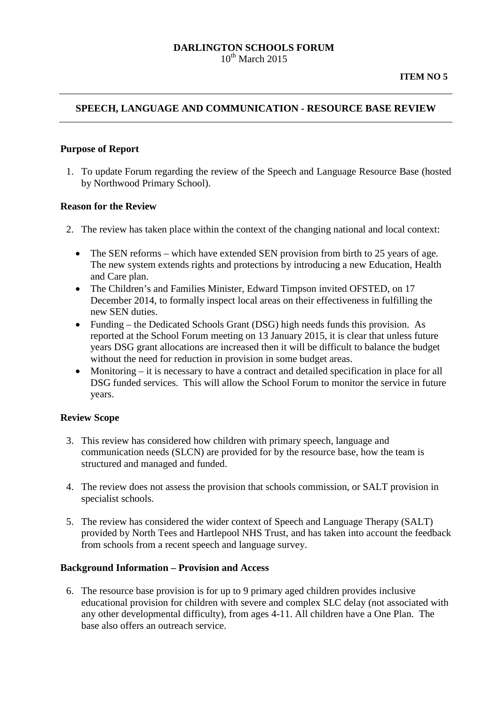### **DARLINGTON SCHOOLS FORUM**  $10^{th}$  March 2015

## **SPEECH, LANGUAGE AND COMMUNICATION - RESOURCE BASE REVIEW**

#### **Purpose of Report**

1. To update Forum regarding the review of the Speech and Language Resource Base (hosted by Northwood Primary School).

#### **Reason for the Review**

- 2. The review has taken place within the context of the changing national and local context:
	- The SEN reforms which have extended SEN provision from birth to 25 years of age. The new system extends rights and protections by introducing a new Education, Health and Care plan.
	- The Children's and Families Minister, Edward Timpson invited OFSTED, on 17 December 2014, to formally inspect local areas on their effectiveness in fulfilling the new SEN duties.
	- Funding the Dedicated Schools Grant (DSG) high needs funds this provision. As reported at the School Forum meeting on 13 January 2015, it is clear that unless future years DSG grant allocations are increased then it will be difficult to balance the budget without the need for reduction in provision in some budget areas.
	- Monitoring it is necessary to have a contract and detailed specification in place for all DSG funded services. This will allow the School Forum to monitor the service in future years.

#### **Review Scope**

- 3. This review has considered how children with primary speech, language and communication needs (SLCN) are provided for by the resource base, how the team is structured and managed and funded.
- 4. The review does not assess the provision that schools commission, or SALT provision in specialist schools.
- 5. The review has considered the wider context of Speech and Language Therapy (SALT) provided by North Tees and Hartlepool NHS Trust, and has taken into account the feedback from schools from a recent speech and language survey.

#### **Background Information – Provision and Access**

6. The resource base provision is for up to 9 primary aged children provides inclusive educational provision for children with severe and complex SLC delay (not associated with any other developmental difficulty), from ages 4-11. All children have a One Plan. The base also offers an outreach service.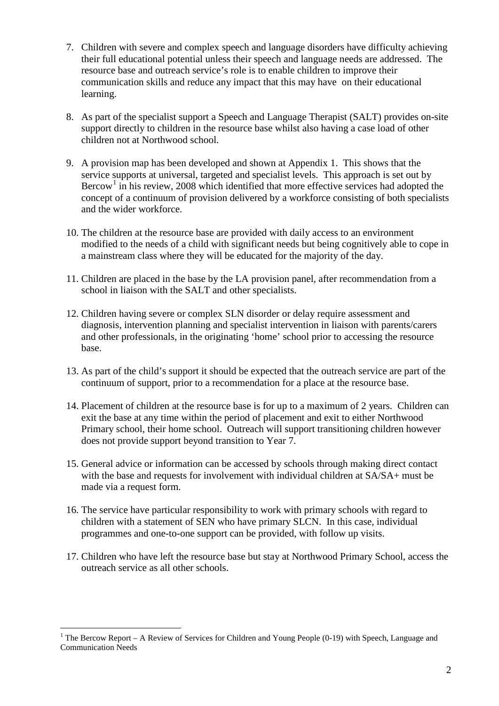- 7. Children with severe and complex speech and language disorders have difficulty achieving their full educational potential unless their speech and language needs are addressed. The resource base and outreach service's role is to enable children to improve their communication skills and reduce any impact that this may have on their educational learning.
- 8. As part of the specialist support a Speech and Language Therapist (SALT) provides on-site support directly to children in the resource base whilst also having a case load of other children not at Northwood school.
- 9. A provision map has been developed and shown at Appendix 1. This shows that the service supports at universal, targeted and specialist levels. This approach is set out by Bercow<sup>[1](#page-1-0)</sup> in his review, 2008 which identified that more effective services had adopted the concept of a continuum of provision delivered by a workforce consisting of both specialists and the wider workforce.
- 10. The children at the resource base are provided with daily access to an environment modified to the needs of a child with significant needs but being cognitively able to cope in a mainstream class where they will be educated for the majority of the day.
- 11. Children are placed in the base by the LA provision panel, after recommendation from a school in liaison with the SALT and other specialists.
- 12. Children having severe or complex SLN disorder or delay require assessment and diagnosis, intervention planning and specialist intervention in liaison with parents/carers and other professionals, in the originating 'home' school prior to accessing the resource base.
- 13. As part of the child's support it should be expected that the outreach service are part of the continuum of support, prior to a recommendation for a place at the resource base.
- 14. Placement of children at the resource base is for up to a maximum of 2 years. Children can exit the base at any time within the period of placement and exit to either Northwood Primary school, their home school. Outreach will support transitioning children however does not provide support beyond transition to Year 7.
- 15. General advice or information can be accessed by schools through making direct contact with the base and requests for involvement with individual children at SA/SA+ must be made via a request form.
- 16. The service have particular responsibility to work with primary schools with regard to children with a statement of SEN who have primary SLCN. In this case, individual programmes and one-to-one support can be provided, with follow up visits.
- 17. Children who have left the resource base but stay at Northwood Primary School, access the outreach service as all other schools.

-

<span id="page-1-0"></span><sup>&</sup>lt;sup>1</sup> The Bercow Report – A Review of Services for Children and Young People (0-19) with Speech, Language and Communication Needs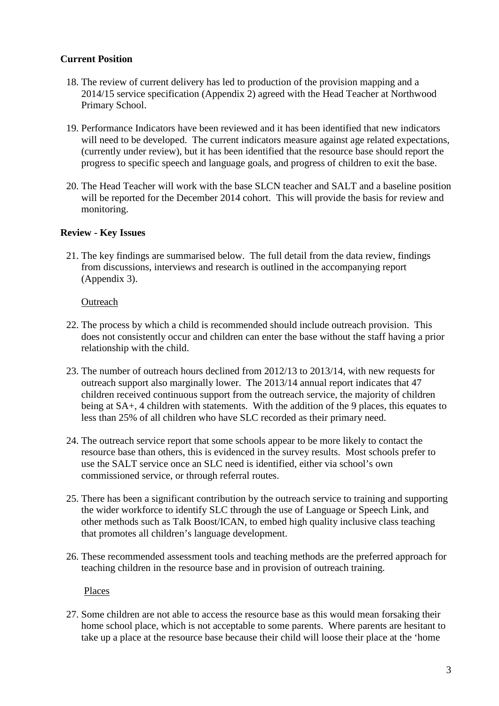# **Current Position**

- 18. The review of current delivery has led to production of the provision mapping and a 2014/15 service specification (Appendix 2) agreed with the Head Teacher at Northwood Primary School.
- 19. Performance Indicators have been reviewed and it has been identified that new indicators will need to be developed. The current indicators measure against age related expectations, (currently under review), but it has been identified that the resource base should report the progress to specific speech and language goals, and progress of children to exit the base.
- 20. The Head Teacher will work with the base SLCN teacher and SALT and a baseline position will be reported for the December 2014 cohort. This will provide the basis for review and monitoring.

## **Review - Key Issues**

21. The key findings are summarised below. The full detail from the data review, findings from discussions, interviews and research is outlined in the accompanying report (Appendix 3).

### Outreach

- 22. The process by which a child is recommended should include outreach provision. This does not consistently occur and children can enter the base without the staff having a prior relationship with the child.
- 23. The number of outreach hours declined from 2012/13 to 2013/14, with new requests for outreach support also marginally lower. The 2013/14 annual report indicates that 47 children received continuous support from the outreach service, the majority of children being at SA+, 4 children with statements. With the addition of the 9 places, this equates to less than 25% of all children who have SLC recorded as their primary need.
- 24. The outreach service report that some schools appear to be more likely to contact the resource base than others, this is evidenced in the survey results. Most schools prefer to use the SALT service once an SLC need is identified, either via school's own commissioned service, or through referral routes.
- 25. There has been a significant contribution by the outreach service to training and supporting the wider workforce to identify SLC through the use of Language or Speech Link, and other methods such as Talk Boost/ICAN, to embed high quality inclusive class teaching that promotes all children's language development.
- 26. These recommended assessment tools and teaching methods are the preferred approach for teaching children in the resource base and in provision of outreach training.

Places

27. Some children are not able to access the resource base as this would mean forsaking their home school place, which is not acceptable to some parents. Where parents are hesitant to take up a place at the resource base because their child will loose their place at the 'home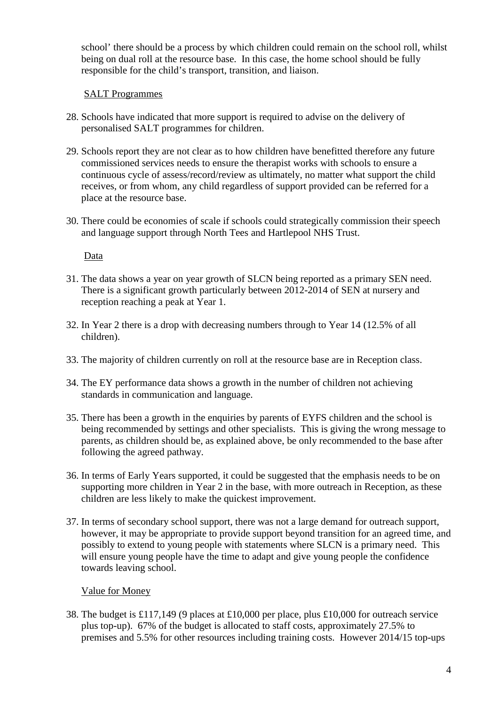school' there should be a process by which children could remain on the school roll, whilst being on dual roll at the resource base. In this case, the home school should be fully responsible for the child's transport, transition, and liaison.

## SALT Programmes

- 28. Schools have indicated that more support is required to advise on the delivery of personalised SALT programmes for children.
- 29. Schools report they are not clear as to how children have benefitted therefore any future commissioned services needs to ensure the therapist works with schools to ensure a continuous cycle of assess/record/review as ultimately, no matter what support the child receives, or from whom, any child regardless of support provided can be referred for a place at the resource base.
- 30. There could be economies of scale if schools could strategically commission their speech and language support through North Tees and Hartlepool NHS Trust.

Data

- 31. The data shows a year on year growth of SLCN being reported as a primary SEN need. There is a significant growth particularly between 2012-2014 of SEN at nursery and reception reaching a peak at Year 1.
- 32. In Year 2 there is a drop with decreasing numbers through to Year 14 (12.5% of all children).
- 33. The majority of children currently on roll at the resource base are in Reception class.
- 34. The EY performance data shows a growth in the number of children not achieving standards in communication and language.
- 35. There has been a growth in the enquiries by parents of EYFS children and the school is being recommended by settings and other specialists. This is giving the wrong message to parents, as children should be, as explained above, be only recommended to the base after following the agreed pathway.
- 36. In terms of Early Years supported, it could be suggested that the emphasis needs to be on supporting more children in Year 2 in the base, with more outreach in Reception, as these children are less likely to make the quickest improvement.
- 37. In terms of secondary school support, there was not a large demand for outreach support, however, it may be appropriate to provide support beyond transition for an agreed time, and possibly to extend to young people with statements where SLCN is a primary need. This will ensure young people have the time to adapt and give young people the confidence towards leaving school.

### Value for Money

38. The budget is £117,149 (9 places at £10,000 per place, plus £10,000 for outreach service plus top-up). 67% of the budget is allocated to staff costs, approximately 27.5% to premises and 5.5% for other resources including training costs. However 2014/15 top-ups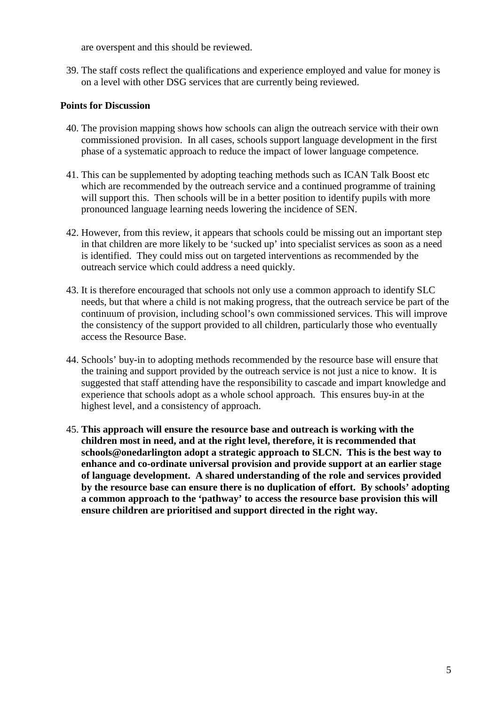are overspent and this should be reviewed.

39. The staff costs reflect the qualifications and experience employed and value for money is on a level with other DSG services that are currently being reviewed.

## **Points for Discussion**

- 40. The provision mapping shows how schools can align the outreach service with their own commissioned provision. In all cases, schools support language development in the first phase of a systematic approach to reduce the impact of lower language competence.
- 41. This can be supplemented by adopting teaching methods such as ICAN Talk Boost etc which are recommended by the outreach service and a continued programme of training will support this. Then schools will be in a better position to identify pupils with more pronounced language learning needs lowering the incidence of SEN.
- 42. However, from this review, it appears that schools could be missing out an important step in that children are more likely to be 'sucked up' into specialist services as soon as a need is identified. They could miss out on targeted interventions as recommended by the outreach service which could address a need quickly.
- 43. It is therefore encouraged that schools not only use a common approach to identify SLC needs, but that where a child is not making progress, that the outreach service be part of the continuum of provision, including school's own commissioned services. This will improve the consistency of the support provided to all children, particularly those who eventually access the Resource Base.
- 44. Schools' buy-in to adopting methods recommended by the resource base will ensure that the training and support provided by the outreach service is not just a nice to know. It is suggested that staff attending have the responsibility to cascade and impart knowledge and experience that schools adopt as a whole school approach. This ensures buy-in at the highest level, and a consistency of approach.
- 45. **This approach will ensure the resource base and outreach is working with the children most in need, and at the right level, therefore, it is recommended that schools@onedarlington adopt a strategic approach to SLCN. This is the best way to enhance and co-ordinate universal provision and provide support at an earlier stage of language development. A shared understanding of the role and services provided by the resource base can ensure there is no duplication of effort. By schools' adopting a common approach to the 'pathway' to access the resource base provision this will ensure children are prioritised and support directed in the right way.**